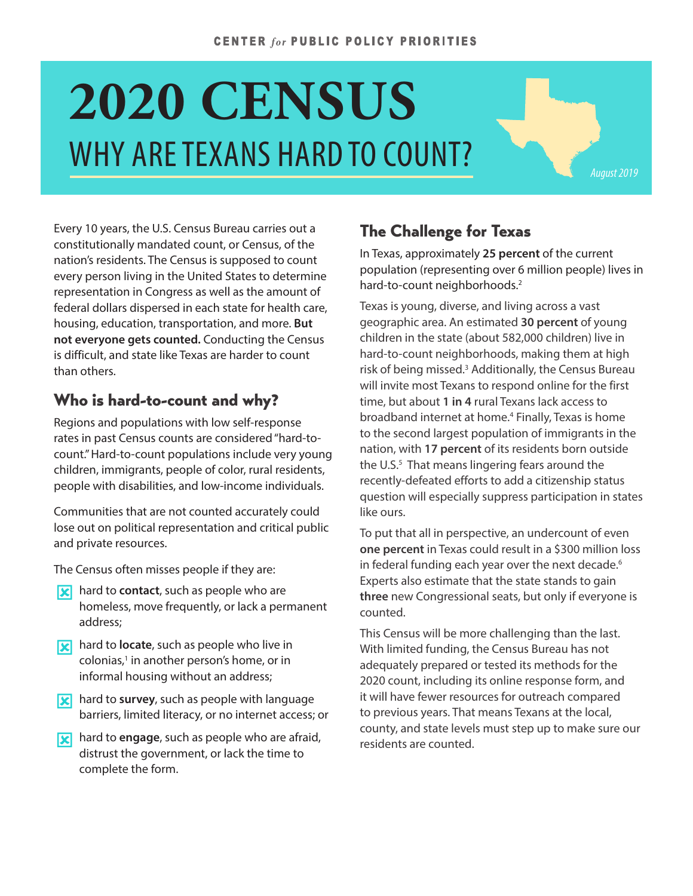# **2020 CENSUS** WHY ARE TEXANS HARD TO COUNT?

Every 10 years, the U.S. Census Bureau carries out a constitutionally mandated count, or Census, of the nation's residents. The Census is supposed to count every person living in the United States to determine representation in Congress as well as the amount of federal dollars dispersed in each state for health care, housing, education, transportation, and more. **But not everyone gets counted.** Conducting the Census is difficult, and state like Texas are harder to count than others.

## Who is hard-to-count and why?

Regions and populations with low self-response rates in past Census counts are considered "hard-tocount." Hard-to-count populations include very young children, immigrants, people of color, rural residents, people with disabilities, and low-income individuals.

Communities that are not counted accurately could lose out on political representation and critical public and private resources.

The Census often misses people if they are:

- **x** hard to **contact**, such as people who are homeless, move frequently, or lack a permanent address;
- **x** hard to **locate**, such as people who live in colonias,<sup>1</sup> in another person's home, or in informal housing without an address;
- **x** hard to **survey**, such as people with language barriers, limited literacy, or no internet access; or
- hard to **engage**, such as people who are afraid, distrust the government, or lack the time to complete the form.

### The Challenge for Texas

In Texas, approximately **25 percent** of the current population (representing over 6 million people) lives in hard-to-count neighborhoods.<sup>2</sup>

Texas is young, diverse, and living across a vast geographic area. An estimated **30 percent** of young children in the state (about 582,000 children) live in hard-to-count neighborhoods, making them at high risk of being missed.<sup>3</sup> Additionally, the Census Bureau will invite most Texans to respond online for the first time, but about **1 in 4** rural Texans lack access to broadband internet at home.4 Finally, Texas is home to the second largest population of immigrants in the nation, with **17 percent** of its residents born outside the U.S.<sup>5</sup> That means lingering fears around the recently-defeated efforts to add a citizenship status question will especially suppress participation in states like ours.

To put that all in perspective, an undercount of even **one percent** in Texas could result in a \$300 million loss in federal funding each year over the next decade.<sup>6</sup> Experts also estimate that the state stands to gain **three** new Congressional seats, but only if everyone is counted.

This Census will be more challenging than the last. With limited funding, the Census Bureau has not adequately prepared or tested its methods for the 2020 count, including its online response form, and it will have fewer resources for outreach compared to previous years. That means Texans at the local, county, and state levels must step up to make sure our residents are counted.